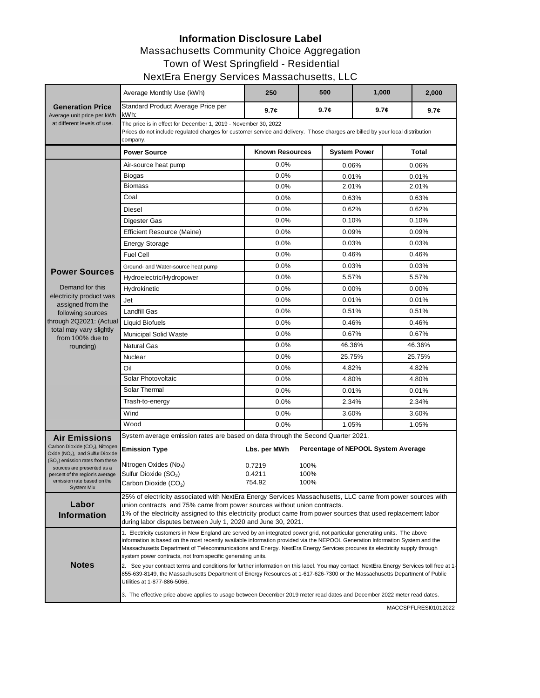## **Information Disclosure Label**

## Massachusetts Community Choice Aggregation

Town of West Springfield - Residential

## NextEra Energy Services Massachusetts, LLC

|                                                                                             | Average Monthly Use (kWh)                                                                                                                                                                                                                                                                                                                                                                                                                                | 250                    |      | 500                 | 1,000                               |                                      | 2,000 |  |  |  |
|---------------------------------------------------------------------------------------------|----------------------------------------------------------------------------------------------------------------------------------------------------------------------------------------------------------------------------------------------------------------------------------------------------------------------------------------------------------------------------------------------------------------------------------------------------------|------------------------|------|---------------------|-------------------------------------|--------------------------------------|-------|--|--|--|
| <b>Generation Price</b><br>Average unit price per kWh                                       | Standard Product Average Price per<br>kWh:                                                                                                                                                                                                                                                                                                                                                                                                               | 9.7 <sub>c</sub>       |      | 9.7 <sub>c</sub>    |                                     | 9.7 <sub>c</sub><br>9.7 <sub>c</sub> |       |  |  |  |
| at different levels of use.                                                                 | The price is in effect for December 1, 2019 - November 30, 2022<br>Prices do not include regulated charges for customer service and delivery. Those charges are billed by your local distribution<br>company.                                                                                                                                                                                                                                            |                        |      |                     |                                     |                                      |       |  |  |  |
|                                                                                             | <b>Power Source</b>                                                                                                                                                                                                                                                                                                                                                                                                                                      | <b>Known Resources</b> |      | <b>System Power</b> |                                     | Total                                |       |  |  |  |
|                                                                                             | Air-source heat pump                                                                                                                                                                                                                                                                                                                                                                                                                                     | 0.0%                   |      | $0.06\%$            |                                     | 0.06%                                |       |  |  |  |
|                                                                                             | Biogas                                                                                                                                                                                                                                                                                                                                                                                                                                                   | 0.0%                   |      | 0.01%               |                                     | 0.01%                                |       |  |  |  |
| <b>Power Sources</b>                                                                        | <b>Biomass</b>                                                                                                                                                                                                                                                                                                                                                                                                                                           | 0.0%                   |      | 2.01%               |                                     | 2.01%                                |       |  |  |  |
|                                                                                             | Coal                                                                                                                                                                                                                                                                                                                                                                                                                                                     | 0.0%                   |      | 0.63%               |                                     | 0.63%                                |       |  |  |  |
|                                                                                             | Diesel                                                                                                                                                                                                                                                                                                                                                                                                                                                   | $0.0\%$                |      | 0.62%               |                                     | 0.62%                                |       |  |  |  |
|                                                                                             | Digester Gas                                                                                                                                                                                                                                                                                                                                                                                                                                             | 0.0%                   |      | 0.10%               |                                     | 0.10%                                |       |  |  |  |
|                                                                                             | <b>Efficient Resource (Maine)</b>                                                                                                                                                                                                                                                                                                                                                                                                                        | 0.0%                   |      | 0.09%               |                                     | 0.09%                                |       |  |  |  |
|                                                                                             | <b>Energy Storage</b>                                                                                                                                                                                                                                                                                                                                                                                                                                    | 0.0%                   |      | 0.03%               |                                     | 0.03%                                |       |  |  |  |
|                                                                                             | <b>Fuel Cell</b>                                                                                                                                                                                                                                                                                                                                                                                                                                         | $0.0\%$                |      | 0.46%               |                                     | 0.46%                                |       |  |  |  |
|                                                                                             | Ground- and Water-source heat pump                                                                                                                                                                                                                                                                                                                                                                                                                       | 0.0%                   |      | 0.03%               |                                     | 0.03%                                |       |  |  |  |
|                                                                                             | Hydroelectric/Hydropower                                                                                                                                                                                                                                                                                                                                                                                                                                 | 0.0%                   |      | 5.57%               |                                     | 5.57%                                |       |  |  |  |
| Demand for this                                                                             | Hydrokinetic                                                                                                                                                                                                                                                                                                                                                                                                                                             | 0.0%                   |      | 0.00%               |                                     | 0.00%                                |       |  |  |  |
| electricity product was                                                                     | Jet                                                                                                                                                                                                                                                                                                                                                                                                                                                      | 0.0%                   |      | 0.01%               |                                     | 0.01%                                |       |  |  |  |
| assigned from the<br>following sources                                                      | <b>Landfill Gas</b>                                                                                                                                                                                                                                                                                                                                                                                                                                      | 0.0%                   |      | 0.51%               |                                     | 0.51%                                |       |  |  |  |
| through 2Q2021: (Actual                                                                     | Liquid Biofuels                                                                                                                                                                                                                                                                                                                                                                                                                                          | 0.0%                   |      | 0.46%               |                                     | 0.46%                                |       |  |  |  |
| total may vary slightly<br>from 100% due to<br>rounding)                                    | <b>Municipal Solid Waste</b>                                                                                                                                                                                                                                                                                                                                                                                                                             | 0.0%                   |      | 0.67%               |                                     | 0.67%                                |       |  |  |  |
|                                                                                             | <b>Natural Gas</b>                                                                                                                                                                                                                                                                                                                                                                                                                                       | $0.0\%$                |      | 46.36%              |                                     | 46.36%                               |       |  |  |  |
|                                                                                             | Nuclear                                                                                                                                                                                                                                                                                                                                                                                                                                                  | 0.0%                   |      | 25.75%              |                                     | 25.75%                               |       |  |  |  |
|                                                                                             | Oil                                                                                                                                                                                                                                                                                                                                                                                                                                                      | 0.0%                   |      | 4.82%               |                                     | 4.82%                                |       |  |  |  |
|                                                                                             | Solar Photovoltaic                                                                                                                                                                                                                                                                                                                                                                                                                                       | 0.0%                   |      | 4.80%               |                                     | 4.80%                                |       |  |  |  |
|                                                                                             | Solar Thermal                                                                                                                                                                                                                                                                                                                                                                                                                                            | 0.0%                   |      | 0.01%               |                                     | 0.01%                                |       |  |  |  |
|                                                                                             | Trash-to-energy                                                                                                                                                                                                                                                                                                                                                                                                                                          | 0.0%                   |      | 2.34%               |                                     | 2.34%                                |       |  |  |  |
|                                                                                             | Wind                                                                                                                                                                                                                                                                                                                                                                                                                                                     | 0.0%                   |      |                     | 3.60%                               |                                      | 3.60% |  |  |  |
|                                                                                             | Wood                                                                                                                                                                                                                                                                                                                                                                                                                                                     | 0.0%                   |      | 1.05%               |                                     | 1.05%                                |       |  |  |  |
| <b>Air Emissions</b>                                                                        | System average emission rates are based on data through the Second Quarter 2021.                                                                                                                                                                                                                                                                                                                                                                         |                        |      |                     |                                     |                                      |       |  |  |  |
| Carbon Dioxide (CO <sub>2</sub> ), Nitrogen<br>Oxide (NO <sub>x</sub> ), and Sulfur Dioxide | <b>Emission Type</b>                                                                                                                                                                                                                                                                                                                                                                                                                                     | Lbs. per MWh           |      |                     | Percentage of NEPOOL System Average |                                      |       |  |  |  |
| (SO <sub>2</sub> ) emission rates from these<br>sources are presented as a                  | Nitrogen Oxides ( $Nox$ )                                                                                                                                                                                                                                                                                                                                                                                                                                | 0.7219                 | 100% |                     |                                     |                                      |       |  |  |  |
| percent of the region's average                                                             | Sulfur Dioxide (SO <sub>2</sub> )                                                                                                                                                                                                                                                                                                                                                                                                                        | 0.4211                 | 100% |                     |                                     |                                      |       |  |  |  |
| emission rate based on the<br><b>System Mix</b>                                             | Carbon Dioxide (CO <sub>2</sub> )                                                                                                                                                                                                                                                                                                                                                                                                                        | 754.92                 | 100% |                     |                                     |                                      |       |  |  |  |
|                                                                                             | 25% of electricity associated with NextEra Energy Services Massachusetts, LLC came from power sources with                                                                                                                                                                                                                                                                                                                                               |                        |      |                     |                                     |                                      |       |  |  |  |
| Labor                                                                                       | union contracts and 75% came from power sources without union contracts.                                                                                                                                                                                                                                                                                                                                                                                 |                        |      |                     |                                     |                                      |       |  |  |  |
| <b>Information</b>                                                                          | 1% of the electricity assigned to this electricity product came from power sources that used replacement labor<br>during labor disputes between July 1, 2020 and June 30, 2021.                                                                                                                                                                                                                                                                          |                        |      |                     |                                     |                                      |       |  |  |  |
|                                                                                             | 1. Electricity customers in New England are served by an integrated power grid, not particular generating units. The above<br>information is based on the most recently available information provided via the NEPOOL Generation Information System and the<br>Massachusetts Department of Telecommunications and Energy. NextEra Energy Services procures its electricity supply through<br>system power contracts, not from specific generating units. |                        |      |                     |                                     |                                      |       |  |  |  |
| <b>Notes</b>                                                                                | 2. See your contract terms and conditions for further information on this label. You may contact NextEra Energy Services toll free at 1-<br>855-639-8149, the Massachusetts Department of Energy Resources at 1-617-626-7300 or the Massachusetts Department of Public<br>Utilities at 1-877-886-5066.                                                                                                                                                   |                        |      |                     |                                     |                                      |       |  |  |  |
|                                                                                             | 3. The effective price above applies to usage between December 2019 meter read dates and December 2022 meter read dates.                                                                                                                                                                                                                                                                                                                                 |                        |      |                     |                                     |                                      |       |  |  |  |

MACCSPFLRESI01012022